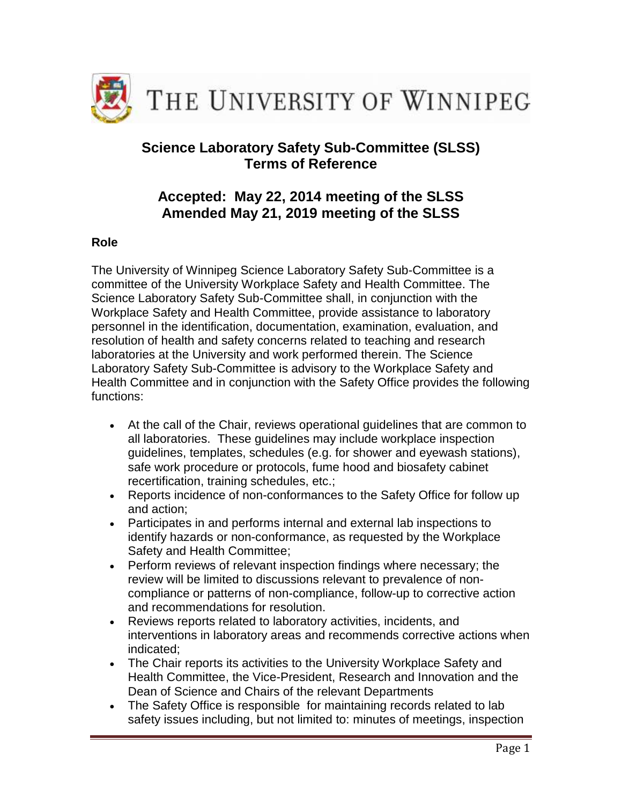

# **Science Laboratory Safety Sub-Committee (SLSS) Terms of Reference**

# **Accepted: May 22, 2014 meeting of the SLSS Amended May 21, 2019 meeting of the SLSS**

## **Role**

The University of Winnipeg Science Laboratory Safety Sub-Committee is a committee of the University Workplace Safety and Health Committee. The Science Laboratory Safety Sub-Committee shall, in conjunction with the Workplace Safety and Health Committee, provide assistance to laboratory personnel in the identification, documentation, examination, evaluation, and resolution of health and safety concerns related to teaching and research laboratories at the University and work performed therein. The Science Laboratory Safety Sub-Committee is advisory to the Workplace Safety and Health Committee and in conjunction with the Safety Office provides the following functions:

- At the call of the Chair, reviews operational guidelines that are common to all laboratories. These guidelines may include workplace inspection guidelines, templates, schedules (e.g. for shower and eyewash stations), safe work procedure or protocols, fume hood and biosafety cabinet recertification, training schedules, etc.;
- Reports incidence of non-conformances to the Safety Office for follow up and action;
- Participates in and performs internal and external lab inspections to identify hazards or non-conformance, as requested by the Workplace Safety and Health Committee;
- Perform reviews of relevant inspection findings where necessary; the review will be limited to discussions relevant to prevalence of noncompliance or patterns of non-compliance, follow-up to corrective action and recommendations for resolution.
- Reviews reports related to laboratory activities, incidents, and interventions in laboratory areas and recommends corrective actions when indicated;
- The Chair reports its activities to the University Workplace Safety and Health Committee, the Vice-President, Research and Innovation and the Dean of Science and Chairs of the relevant Departments
- The Safety Office is responsible for maintaining records related to lab safety issues including, but not limited to: minutes of meetings, inspection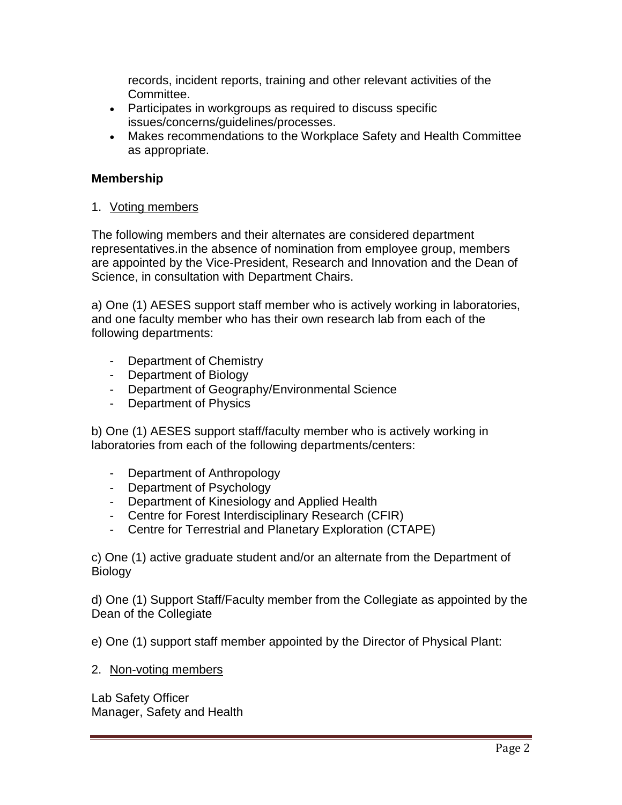records, incident reports, training and other relevant activities of the Committee.

- Participates in workgroups as required to discuss specific issues/concerns/guidelines/processes.
- Makes recommendations to the Workplace Safety and Health Committee as appropriate.

## **Membership**

1. Voting members

The following members and their alternates are considered department representatives.in the absence of nomination from employee group, members are appointed by the Vice-President, Research and Innovation and the Dean of Science, in consultation with Department Chairs.

a) One (1) AESES support staff member who is actively working in laboratories, and one faculty member who has their own research lab from each of the following departments:

- Department of Chemistry
- Department of Biology
- Department of Geography/Environmental Science
- Department of Physics

b) One (1) AESES support staff/faculty member who is actively working in laboratories from each of the following departments/centers:

- Department of Anthropology
- Department of Psychology
- Department of Kinesiology and Applied Health
- Centre for Forest Interdisciplinary Research (CFIR)
- Centre for Terrestrial and Planetary Exploration (CTAPE)

c) One (1) active graduate student and/or an alternate from the Department of **Biology** 

d) One (1) Support Staff/Faculty member from the Collegiate as appointed by the Dean of the Collegiate

e) One (1) support staff member appointed by the Director of Physical Plant:

2. Non-voting members

Lab Safety Officer Manager, Safety and Health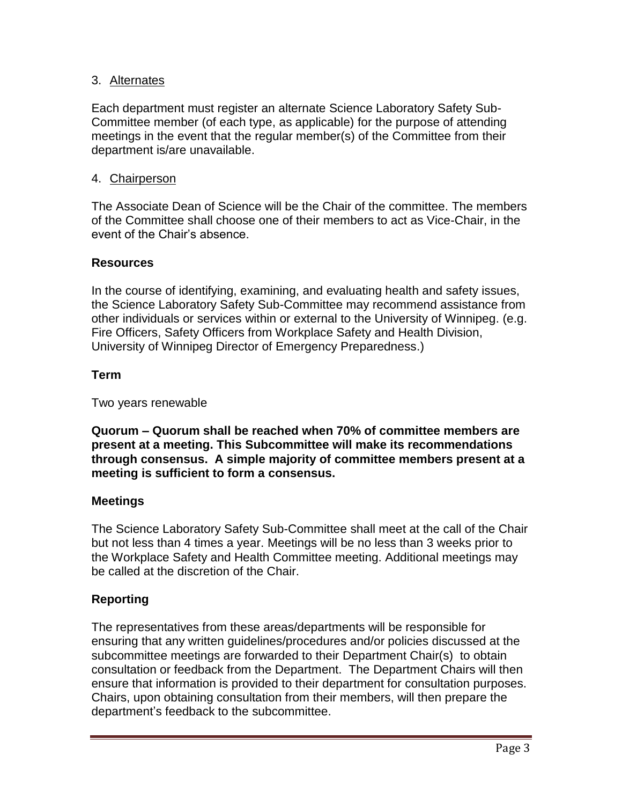## 3. Alternates

Each department must register an alternate Science Laboratory Safety Sub-Committee member (of each type, as applicable) for the purpose of attending meetings in the event that the regular member(s) of the Committee from their department is/are unavailable.

#### 4. Chairperson

The Associate Dean of Science will be the Chair of the committee. The members of the Committee shall choose one of their members to act as Vice-Chair, in the event of the Chair's absence.

#### **Resources**

In the course of identifying, examining, and evaluating health and safety issues, the Science Laboratory Safety Sub-Committee may recommend assistance from other individuals or services within or external to the University of Winnipeg. (e.g. Fire Officers, Safety Officers from Workplace Safety and Health Division, University of Winnipeg Director of Emergency Preparedness.)

#### **Term**

Two years renewable

**Quorum – Quorum shall be reached when 70% of committee members are present at a meeting. This Subcommittee will make its recommendations through consensus. A simple majority of committee members present at a meeting is sufficient to form a consensus.**

### **Meetings**

The Science Laboratory Safety Sub-Committee shall meet at the call of the Chair but not less than 4 times a year. Meetings will be no less than 3 weeks prior to the Workplace Safety and Health Committee meeting. Additional meetings may be called at the discretion of the Chair.

### **Reporting**

The representatives from these areas/departments will be responsible for ensuring that any written guidelines/procedures and/or policies discussed at the subcommittee meetings are forwarded to their Department Chair(s) to obtain consultation or feedback from the Department. The Department Chairs will then ensure that information is provided to their department for consultation purposes. Chairs, upon obtaining consultation from their members, will then prepare the department's feedback to the subcommittee.